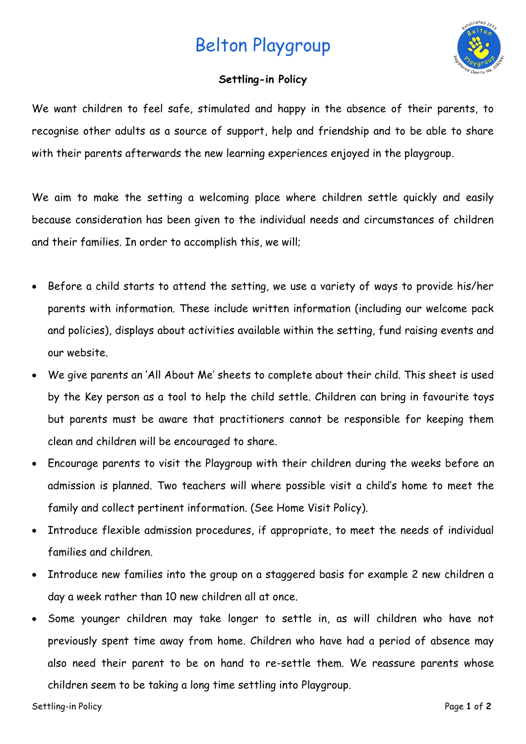## Belton Playgroup



## **Settling-in Policy**

We want children to feel safe, stimulated and happy in the absence of their parents, to recognise other adults as a source of support, help and friendship and to be able to share with their parents afterwards the new learning experiences enjoyed in the playgroup.

We aim to make the setting a welcoming place where children settle quickly and easily because consideration has been given to the individual needs and circumstances of children and their families. In order to accomplish this, we will;

- Before a child starts to attend the setting, we use a variety of ways to provide his/her parents with information. These include written information (including our welcome pack and policies), displays about activities available within the setting, fund raising events and our website.
- We give parents an 'All About Me' sheets to complete about their child. This sheet is used by the Key person as a tool to help the child settle. Children can bring in favourite toys but parents must be aware that practitioners cannot be responsible for keeping them clean and children will be encouraged to share.
- Encourage parents to visit the Playgroup with their children during the weeks before an admission is planned. Two teachers will where possible visit a child's home to meet the family and collect pertinent information. (See Home Visit Policy).
- Introduce flexible admission procedures, if appropriate, to meet the needs of individual families and children.
- Introduce new families into the group on a staggered basis for example 2 new children a day a week rather than 10 new children all at once.
- Some younger children may take longer to settle in, as will children who have not previously spent time away from home. Children who have had a period of absence may also need their parent to be on hand to re-settle them. We reassure parents whose children seem to be taking a long time settling into Playgroup.